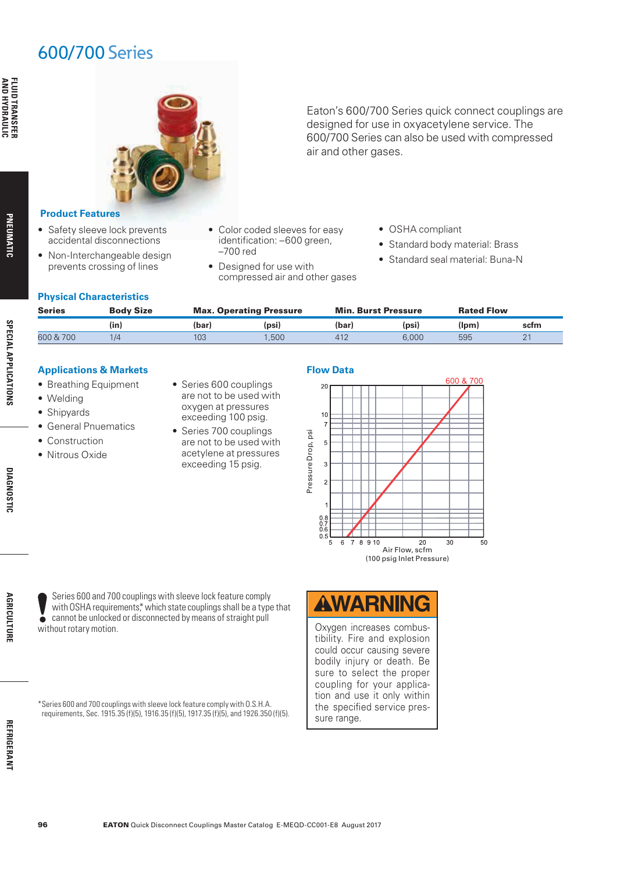# 600/700 Series

**PNEUMATIC**

PNEUMATIC

**SPECIAL APPLICATIONS**

**SPECIAL APPLICATIONS** 

**DIAGNOSTIC DIAGNOSTIC**



Eaton's 600/700 Series quick connect couplings are designed for use in oxyacetylene service. The 600/700 Series can also be used with compressed air and other gases.

### **Product Features**

- Safety sleeve lock prevents accidental disconnections
- Non-Interchangeable design prevents crossing of lines
- Color coded sleeves for easy identification: –600 green, –700 red
- Designed for use with compressed air and other gases

• Series 600 couplings are not to be used with oxygen at pressures exceeding 100 psig. • Series 700 couplings are not to be used with acetylene at pressures exceeding 15 psig.

- OSHA compliant
- Standard body material: Brass
- Standard seal material: Buna-N

### **Physical Characteristics**

| <b>Series</b> | <b>Body Size</b> | <b>Max. Operating Pressure</b> |       | <b>Min. Burst Pressure</b> |       | <b>Rated Flow</b> |      |
|---------------|------------------|--------------------------------|-------|----------------------------|-------|-------------------|------|
|               | (in)             | (bar)                          | (psi) | (bar)                      | (psi) | (Ipm)             | scfm |
| 600 & 700     | 1/4              | 103                            | .500  | 412                        | 6.000 | 595               |      |

### **Applications & Markets**

- Breathing Equipment
- Welding
- Shipyards
- General Pnuematics
- Construction
- Nitrous Oxide

**Flow Data**



**AGRICULTURE AGRICULTURE**

Series 600 and 700 couplings with sleeve lock feature comply with OSHA requirements,\* which state couplings shall be a type that cannot be unlocked or disconnected by means of straight pull  $\ddot{\bullet}$ without rotary motion.

\* Series 600 and 700 couplings with sleeve lock feature comply with O.S.H.A. requirements, Sec. 1915.35 (f)(5), 1916.35 (f)(5), 1917.35 (f)(5), and 1926.350 (f)(5).



Oxygen increases combustibility. Fire and explosion could occur causing severe bodily injury or death. Be sure to select the proper coupling for your application and use it only within the specified service pressure range.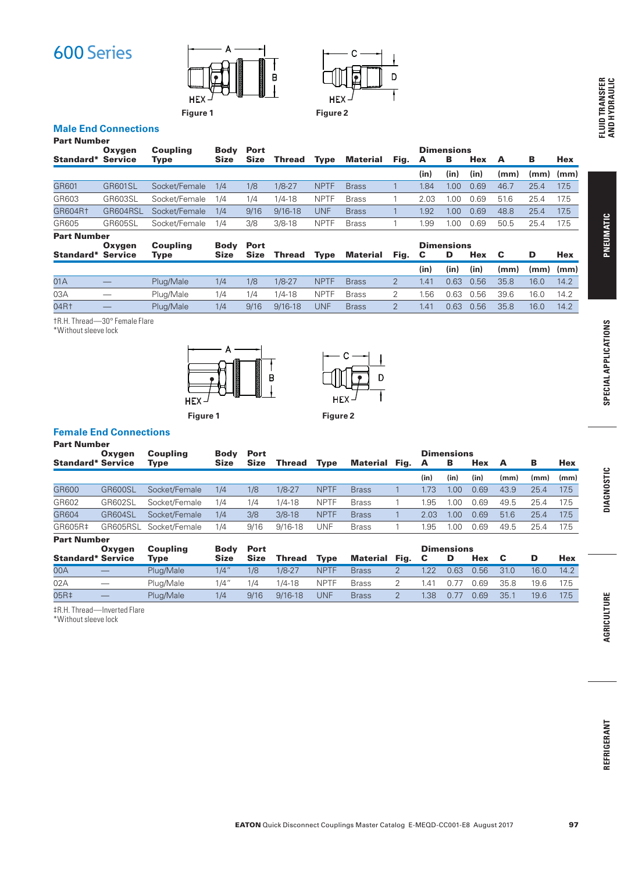



# **Male End Connections**

| <b>Part Number</b>       |                |                 |             |             |             |             |              |      |      |                   |      |      |      |            |
|--------------------------|----------------|-----------------|-------------|-------------|-------------|-------------|--------------|------|------|-------------------|------|------|------|------------|
|                          | Oxygen         | <b>Coupling</b> | <b>Body</b> | <b>Port</b> |             |             |              |      |      | <b>Dimensions</b> |      |      |      |            |
| Standard*                | <b>Service</b> | Type            | <b>Size</b> | <b>Size</b> | Thread      | <b>Type</b> | Material     | Fig. | A    | в                 | Hex  | A    | в    | <b>Hex</b> |
|                          |                |                 |             |             |             |             |              |      | (in) | (in)              | (in) | (mm) | (mm) | (mm)       |
| GR601                    | <b>GR601SL</b> | Socket/Female   | 1/4         | 1/8         | $1/8 - 27$  | <b>NPTF</b> | <b>Brass</b> |      | 1.84 | 1.00              | 0.69 | 46.7 | 25.4 | 17.5       |
| GR603                    | GR603SL        | Socket/Female   | 1/4         | 1/4         | $1/4 - 18$  | <b>NPTF</b> | <b>Brass</b> |      | 2.03 | 1.00              | 0.69 | 51.6 | 25.4 | 17.5       |
| GR604R1                  | GR604RSL       | Socket/Female   | 1/4         | 9/16        | $9/16 - 18$ | UNF         | <b>Brass</b> |      | 1.92 | 1.00              | 0.69 | 48.8 | 25.4 | 17.5       |
| GR605                    | GR605SL        | Socket/Female   | 1/4         | 3/8         | $3/8 - 18$  | <b>NPTF</b> | <b>Brass</b> |      | 1.99 | 1.00              | 0.69 | 50.5 | 25.4 | 17.5       |
| <b>Part Number</b>       |                |                 |             |             |             |             |              |      |      |                   |      |      |      |            |
|                          | Oxygen         | <b>Coupling</b> | <b>Body</b> | <b>Port</b> |             |             |              |      |      | <b>Dimensions</b> |      |      |      |            |
| <b>Standard* Service</b> |                | Type            | <b>Size</b> | <b>Size</b> | Thread      | <b>Type</b> | Material     | Fig. | C    | D                 | Hex  | C    | D    | <b>Hex</b> |
|                          |                |                 |             |             |             |             |              |      | (in) | (in)              | (in) | (mm) | (mm) | (mm)       |
| 01A                      |                | Plua/Male       | 1/4         | 1/8         | $1/8 - 27$  | <b>NPTF</b> | <b>Brass</b> |      | 1.41 | 0.63              | 0.56 | 35.8 | 16.0 | 14.2       |

03A — Plug/Male 1/4 1/4 1/4-18 NPTF Brass 2 1.56 0.63 0.56 39.6 16.0 14.2

04R† — Plug/Male 1/4 9/16 9/16-18 UNF Brass 2 1.41 0.63 0.56 35.8 16.0 14.2

†R.H. Thread—30° Female Flare

\*Without sleeve lock





### **Female End Connections**

| <b>Part Number</b>       |                |               |             |             |             |             |                      |      |                   |      |      |      |      |
|--------------------------|----------------|---------------|-------------|-------------|-------------|-------------|----------------------|------|-------------------|------|------|------|------|
|                          | Oxygen         | Coupling      | Body        | Port        |             |             |                      |      | <b>Dimensions</b> |      |      |      |      |
| <b>Standard* Service</b> |                | Type          | <b>Size</b> | <b>Size</b> | Thread      | <b>Type</b> | <b>Material Fig.</b> | A    | в                 | Hex  | A    | в    | Hex  |
|                          |                |               |             |             |             |             |                      | (in) | (in)              | (in) | (mm) | (mm) | (mm) |
| GR600                    | GR600SL        | Socket/Female | 1/4         | 1/8         | $1/8 - 27$  | <b>NPTF</b> | <b>Brass</b>         | 1.73 | 1.00              | 0.69 | 43.9 | 25.4 | 17.5 |
| GR602                    | <b>GR602SL</b> | Socket/Female | 1/4         | 1/4         | $1/4 - 18$  | <b>NPTF</b> | <b>Brass</b>         | .95  | LOC               | 0.69 | 49.5 | 25.4 | 17.5 |
| GR604                    | GR604SL        | Socket/Female | 1/4         | 3/8         | $3/8 - 18$  | <b>NPTF</b> | <b>Brass</b>         | 2.03 | 1.00              | 0.69 | 51.6 | 25.4 | 17.5 |
| GR605R‡                  | GR605RSL       | Socket/Female | 1/4         | 9/16        | $9/16 - 18$ | <b>UNF</b>  | <b>Brass</b>         | .95  | 0.00              | 0.69 | 49.5 | 25.4 | 17.5 |
| <b>Part Number</b>       |                |               |             |             |             |             |                      |      |                   |      |      |      |      |

|                          | Oxvaen                          | Coupling    | <b>Body Port</b> |             |               |             |                      |                       | <b>Dimensions</b> |      |      |      |      |
|--------------------------|---------------------------------|-------------|------------------|-------------|---------------|-------------|----------------------|-----------------------|-------------------|------|------|------|------|
| <b>Standard* Service</b> |                                 | <b>Type</b> | <b>Size</b>      | <b>Size</b> | <b>Thread</b> | <b>Type</b> | <b>Material Fig.</b> |                       |                   | Hex  |      |      | Hex  |
| 00A                      | $\hspace{0.1mm}-\hspace{0.1mm}$ | Plug/Male   | 1/4"             | 1/8         | 1/8-27        | <b>NPTF</b> | <b>Brass</b>         | 1 22                  | 0.63              | 0.56 | 31.0 | 16.0 | 14.2 |
| 02A                      | $\overbrace{\hspace{15em}}$     | Plua/Male   | 1/4"             | 1/4         | 1/4-18        | <b>NPTF</b> | <b>Brass</b>         | $\mathcal{A}^{\cdot}$ | 0.77              | 0.69 | 35.8 | 19.6 | 17.5 |
| 05R‡                     |                                 | Plug/Male   | 1/4              | 9/16        | $9/16 - 18$   | UNF         | <b>Brass</b>         | 1.38                  | 0.77              | 0.69 | 35.1 | 19.6 | 17.5 |

‡R.H. Thread—Inverted Flare

\*Without sleeve lock

97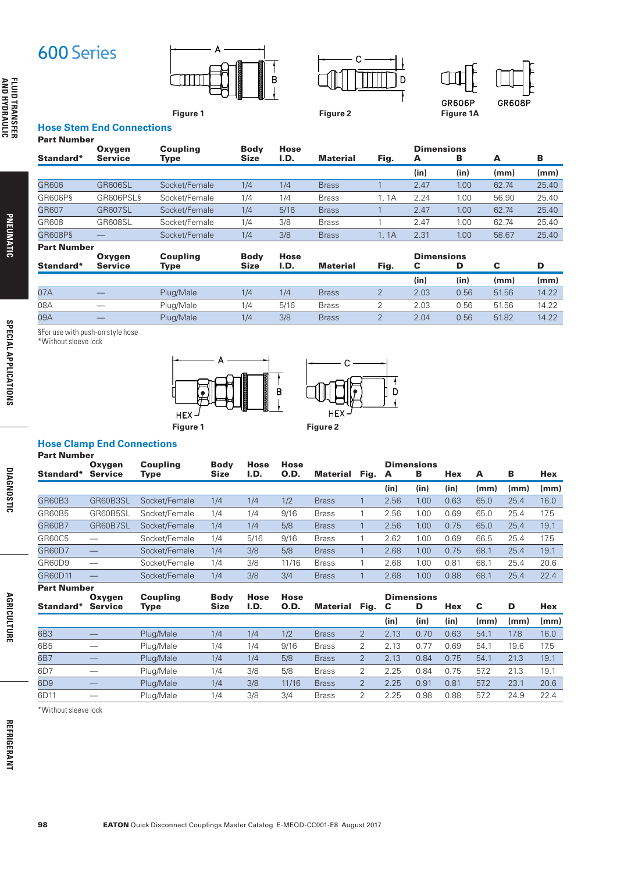**Figure 1**



**Figure 2**



ijр

 $\overline{\mathbf{I}}$ 

। ।

**Figure 1A**

#### **Hose Stem End Connections**  Part Number

| ган нишпрск        |                          |                  |                     |                     |                 |       |                        |      |       |       |
|--------------------|--------------------------|------------------|---------------------|---------------------|-----------------|-------|------------------------|------|-------|-------|
| Standard*          | Oxygen<br><b>Service</b> | Coupling<br>Type | <b>Body</b><br>Size | <b>Hose</b><br>I.D. | Material        | Fig.  | <b>Dimensions</b><br>A | в    | A     | в     |
|                    |                          |                  |                     |                     |                 |       | (in)                   | (in) | (mm)  | (mm)  |
| GR606              | <b>GR606SL</b>           | Socket/Female    | 1/4                 | 1/4                 | <b>Brass</b>    |       | 2.47                   | 1.00 | 62.74 | 25.40 |
| GR606P§            | GR606PSL§                | Socket/Female    | 1/4                 | 1/4                 | <b>Brass</b>    | 1. 1A | 2.24                   | 1.00 | 56.90 | 25.40 |
| GR607              | <b>GR607SL</b>           | Socket/Female    | 1/4                 | 5/16                | <b>Brass</b>    |       | 2.47                   | 1.00 | 62.74 | 25.40 |
| GR608              | GR608SL                  | Socket/Female    | 1/4                 | 3/8                 | <b>Brass</b>    |       | 2.47                   | 1.00 | 62.74 | 25.40 |
| GR608P§            |                          | Socket/Female    | 1/4                 | 3/8                 | <b>Brass</b>    | 1, 1A | 2.31                   | 1.00 | 58.67 | 25.40 |
| <b>Part Number</b> |                          |                  |                     |                     |                 |       |                        |      |       |       |
|                    | Oxvgen                   | <b>Coupling</b>  | <b>Body</b>         | <b>Hose</b>         |                 |       | <b>Dimensions</b>      |      |       |       |
| Standard*          | <b>Service</b>           | Type             | <b>Size</b>         | I.D.                | <b>Material</b> | Fig.  | С                      | D    | C     | D     |

|     |                                           | . .       |     |      |              |      |      |       |       |
|-----|-------------------------------------------|-----------|-----|------|--------------|------|------|-------|-------|
|     |                                           |           |     |      |              | (in  | (in  | (mm)  | (mm)  |
| 07A |                                           | Plug/Male | 1/4 | 1/4  | <b>Brass</b> | 2.03 | 0.56 | 51.56 | 14.22 |
| 08A |                                           | Plug/Male | 1/4 | 5/16 | <b>Brass</b> | 2.03 | 0.56 | 51.56 | 14.22 |
| 09A | $\qquad \qquad \overline{\qquad \qquad }$ | Plug/Male | 1/4 | 3/8  | <b>Brass</b> | 2.04 | 0.56 | 51.82 | 14.22 |

§For use with push-on style hose

\*Without sleeve lock



## **Hose Clamp End Connections**

| <b>Part Number</b> |                |               |             |      |       |              |      |      |                   |            |      |      |      |
|--------------------|----------------|---------------|-------------|------|-------|--------------|------|------|-------------------|------------|------|------|------|
|                    | Oxygen         | Coupling      | <b>Body</b> | Hose | Hose  |              |      |      | <b>Dimensions</b> |            |      |      |      |
| Standard*          | <b>Service</b> | Type          | <b>Size</b> | I.D. | 0.D.  | Material     | Fig. | A    | в                 | <b>Hex</b> | A    | в    | Hex  |
|                    |                |               |             |      |       |              |      | (in) | (in)              | (in)       | (mm) | (mm) | (mm) |
| <b>GR60B3</b>      | GR60B3SL       | Socket/Female | 1/4         | 1/4  | 1/2   | <b>Brass</b> |      | 2.56 | 1.00              | 0.63       | 65.0 | 25.4 | 16.0 |
| GR60B5             | GR60B5SL       | Socket/Female | 1/4         | 1/4  | 9/16  | <b>Brass</b> |      | 2.56 | 1.00              | 0.69       | 65.0 | 25.4 | 17.5 |
| <b>GR60B7</b>      | GR60B7SL       | Socket/Female | 1/4         | 1/4  | 5/8   | <b>Brass</b> |      | 2.56 | 1.00              | 0.75       | 65.0 | 25.4 | 19.1 |
| GR60C5             |                | Socket/Female | 1/4         | 5/16 | 9/16  | <b>Brass</b> |      | 2.62 | 1.00              | 0.69       | 66.5 | 25.4 | 17.5 |
| <b>GR60D7</b>      |                | Socket/Female | 1/4         | 3/8  | 5/8   | <b>Brass</b> |      | 2.68 | 1.00              | 0.75       | 68.1 | 25.4 | 19.1 |
| GR60D9             |                | Socket/Female | 1/4         | 3/8  | 11/16 | <b>Brass</b> |      | 2.68 | 1.00              | 0.81       | 68.  | 25.4 | 20.6 |
| GR60D11            |                | Socket/Female | 1/4         | 3/8  | 3/4   | <b>Brass</b> |      | 2.68 | 1.00              | 0.88       | 68.1 | 25.4 | 22.4 |
| <b>Part Number</b> |                |               |             |      |       |              |      |      |                   |            |      |      |      |

| Oxygen         | <b>Coupling</b> | <b>Body</b> | <b>Hose</b> | Hose  |                 |                |      |      |      |                   |      |      |
|----------------|-----------------|-------------|-------------|-------|-----------------|----------------|------|------|------|-------------------|------|------|
| <b>Service</b> | Type            | <b>Size</b> | I.D.        | 0.D.  | <b>Material</b> | Fig.           |      | D    | Hex  | C                 | D    | Hex  |
|                |                 |             |             |       |                 |                | (in) | (in) | (in) | (mm)              | (mm) | (mm) |
|                | Plug/Male       | 1/4         | 1/4         | 1/2   | <b>Brass</b>    | $\overline{2}$ | 2.13 | 0.70 | 0.63 | 54.1              | 17.8 | 16.0 |
|                | Plua/Male       | 1/4         | 1/4         | 9/16  | <b>Brass</b>    | 2              | 2.13 | 0.77 | 0.69 | 54.1              | 19.6 | 17.5 |
|                | Plug/Male       | 1/4         | 1/4         | 5/8   | <b>Brass</b>    | $\overline{2}$ | 2.13 | 0.84 | 0.75 | 54.1              | 21.3 | 19.1 |
|                | Plug/Male       | 1/4         | 3/8         | 5/8   | <b>Brass</b>    | 2              | 2.25 | 0.84 | 0.75 | 57.2              | 21.3 | 19.1 |
|                | Plug/Male       | 1/4         | 3/8         | 11/16 | <b>Brass</b>    | 2              | 2.25 | 0.91 | 0.81 | 57.2              | 23.1 | 20.6 |
|                | Plug/Male       | 1/4         | 3/8         | 3/4   | <b>Brass</b>    | 2              | 2.25 | 0.98 | 0.88 | 57.2              | 24.9 | 22.4 |
|                |                 |             |             |       |                 |                |      | - C  |      | <b>Dimensions</b> |      |      |

\*Without sleeve lock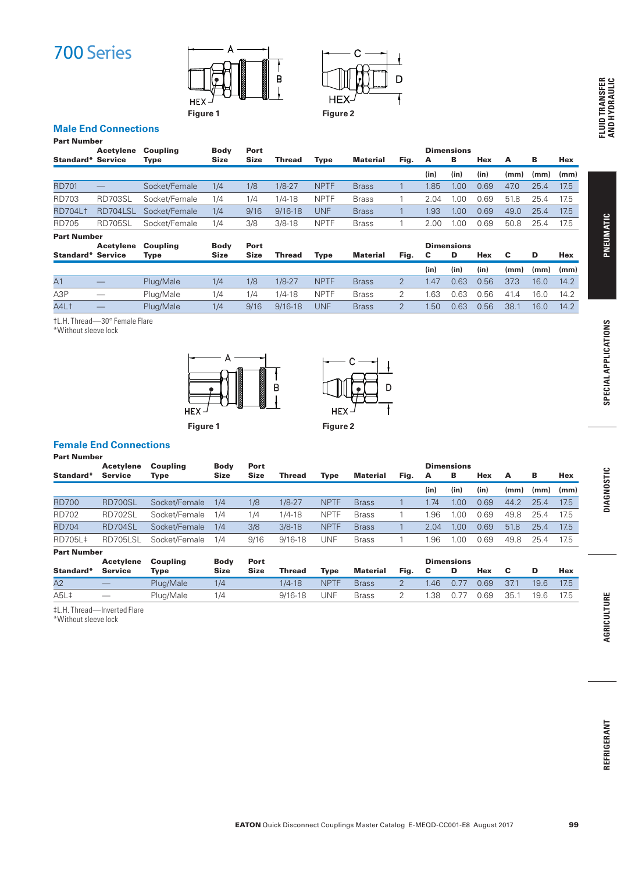



# **Male End Connections**

| <b>Part Number</b>       |                |               |             |             |             |             |                 |      |                   |                   |      |      |      |            |
|--------------------------|----------------|---------------|-------------|-------------|-------------|-------------|-----------------|------|-------------------|-------------------|------|------|------|------------|
|                          | Acetylene      | Coupling      | <b>Body</b> | Port        |             |             |                 |      |                   | <b>Dimensions</b> |      |      |      |            |
| <b>Standard* Service</b> |                | <b>Type</b>   | <b>Size</b> | <b>Size</b> | Thread      | Type        | <b>Material</b> | Fig. | A                 | в                 | Hex  | A    | в    | <b>Hex</b> |
|                          |                |               |             |             |             |             |                 |      | (in)              | (in)              | (in) | (mm) | (mm) | (mm)       |
| <b>RD701</b>             |                | Socket/Female | 1/4         | 1/8         | $1/8 - 27$  | <b>NPTF</b> | <b>Brass</b>    |      | 1.85              | 1.00              | 0.69 | 47.0 | 25.4 | 17.5       |
| <b>RD703</b>             | <b>RD703SL</b> | Socket/Female | 1/4         | 1/4         | $1/4 - 18$  | <b>NPTF</b> | <b>Brass</b>    |      | 2.04              | 1.00              | 0.69 | 51.8 | 25.4 | 17.5       |
| <b>RD704Lt</b>           | RD704LSL       | Socket/Female | 1/4         | 9/16        | $9/16 - 18$ | UNF         | <b>Brass</b>    |      | 1.93 <sub>1</sub> | 1.00              | 0.69 | 49.0 | 25.4 | 17.5       |
| <b>RD705</b>             | <b>RD705SL</b> | Socket/Female | 1/4         | 3/8         | $3/8 - 18$  | <b>NPTF</b> | <b>Brass</b>    |      | 2.00              | 1.00              | 0.69 | 50.8 | 25.4 | 17.5       |
| <b>Part Number</b>       |                |               |             |             |             |             |                 |      |                   |                   |      |      |      |            |
|                          | Acetylene      | Coupling      | <b>Body</b> | Port        |             |             |                 |      |                   | <b>Dimensions</b> |      |      |      |            |
| <b>Standard* Service</b> |                | Type          | Size        | <b>Size</b> | Thread      | Type        | Material        | Fig. | С                 | D                 | Hex  | c    | D    | Hex        |
|                          |                |               |             |             |             |             |                 |      | (in)              | (in)              | (in) | (mm) | (mm) | (mm)       |
| A <sub>1</sub>           |                | Plug/Male     | 1/4         | 1/8         | $1/8 - 27$  | <b>NPTF</b> | <b>Brass</b>    | 2    | 1.47              | 0.63              | 0.56 | 37.3 | 16.0 | 14.2       |
| A <sub>3</sub> P         |                | Plug/Male     | 1/4         | 1/4         | $1/4 - 18$  | <b>NPTF</b> | <b>Brass</b>    | 2    | 1.63              | 0.63              | 0.56 | 41.4 | 16.0 | 14.2       |
| A4L <sup>+</sup>         |                | Plug/Male     | 1/4         | 9/16        | $9/16 - 18$ | UNF         | <b>Brass</b>    | 2    | 1.50              | 0.63              | 0.56 | 38.1 | 16.0 | 14.2       |

†L.H. Thread—30° Female Flare

\*Without sleeve lock



## **Female End Connections**

Part Number

|              | <b>Acetylene</b> | Coupling      | Body        | Port        |             |             |              |      |      | <b>Dimensions</b> |      |      |      |      |
|--------------|------------------|---------------|-------------|-------------|-------------|-------------|--------------|------|------|-------------------|------|------|------|------|
| Standard*    | <b>Service</b>   | Type          | <b>Size</b> | <b>Size</b> | Thread      | Type        | Material     | Fig. | A    | в                 | Hex  | A    | в    | Hex  |
|              |                  |               |             |             |             |             |              |      | (in) | (in)              | (in) | (mm) | (mm) | (mm) |
| <b>RD700</b> | <b>RD700SL</b>   | Socket/Female | 1/4         | 1/8         | $1/8 - 27$  | <b>NPTF</b> | <b>Brass</b> |      | 1.74 | 0.00              | 0.69 | 44.2 | 25.4 | 17.5 |
| <b>RD702</b> | RD702SL          | Socket/Female | 1/4         | 1/4         | 1/4-18      | <b>NPTF</b> | <b>Brass</b> |      | I.96 | .00               | 0.69 | 49.8 | 25.4 | 17.5 |
| <b>RD704</b> | <b>RD704SL</b>   | Socket/Female | 1/4         | 3/8         | $3/8 - 18$  | <b>NPTF</b> | <b>Brass</b> |      | 2.04 | .00               | 0.69 | 51.8 | 25.4 | 17.5 |
| RD705L‡      | RD705LSL         | Socket/Female | 1/4         | 9/16        | $9/16 - 18$ | UNF         | <b>Brass</b> |      | .96  | .00               | 0.69 | 49.8 | 25.4 | 17.5 |
| _ _ _ _      |                  |               |             |             |             |             |              |      |      |                   |      |      |      |      |

Part Number

|                               | Acetylene                | <b>Coupling</b> | <b>Body</b> | Port        |               |             |              |      |                 | <b>Dimensions</b> |      |      |      |      |
|-------------------------------|--------------------------|-----------------|-------------|-------------|---------------|-------------|--------------|------|-----------------|-------------------|------|------|------|------|
| Standard*                     | <b>Service</b>           | Type            | Size        | <b>Size</b> | <b>Thread</b> | <b>Type</b> | Material     | Fig. | C               |                   | Hex  |      |      | Hex  |
| A2                            | $\overline{\phantom{0}}$ | Plug/Male       | 1/4         |             | $1/4 - 18$    | <b>NPTF</b> | <b>Brass</b> |      | L <sub>46</sub> | 0.77              | 0.69 | 37.1 | 19.6 | 17.5 |
| A <sub>5</sub> L <sup>+</sup> | $\hspace{0.05cm}$        | Plug/Male       | 1/4         |             | $9/16 - 18$   | UNF         | <b>Brass</b> |      | .38             | 0.77              | 0.69 | 35.1 | 19.6 | 17.5 |

‡L.H. Thread—Inverted Flare

\*Without sleeve lock